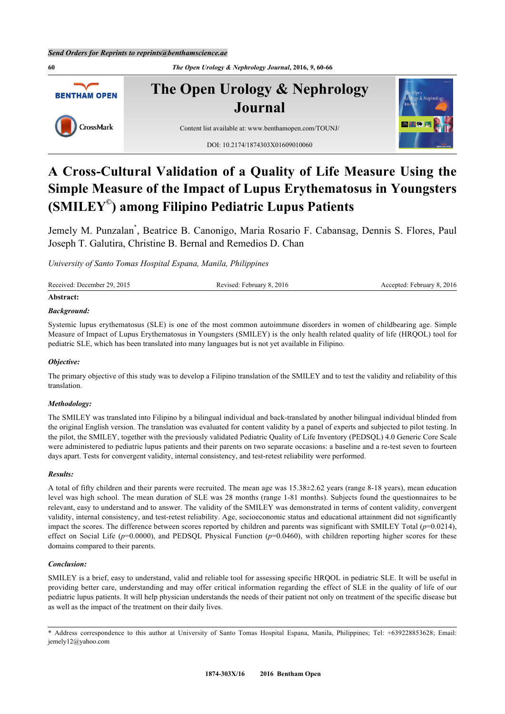**60** *The Open Urology & Nephrology Journal***, 2016,** *9***, 60-66 The Open Urology & Nephrology BENTHAM OPEN Journal** CrossMark Content list available at: [www.benthamopen.com/TOUNJ/](http://www.benthamopen.com/TOUNJ/) DOI: [10.2174/1874303X01609010060](http://dx.doi.org/10.2174/1874303X01609010060)

# **A Cross-Cultural Validation of a Quality of Life Measure Using the Simple Measure of the Impact of Lupus Erythematosus in Youngsters (SMILEY© ) among Filipino Pediatric Lupus Patients**

Jemely M. Punzalan[\\*](#page-0-0) , Beatrice B. Canonigo, Maria Rosario F. Cabansag, Dennis S. Flores, Paul Joseph T. Galutira, Christine B. Bernal and Remedios D. Chan

*University of Santo Tomas Hospital Espana, Manila, Philippines*

| Received: December 29, 2015 | Revised: February 8, 2016 | Accepted: February 8, 2016 |
|-----------------------------|---------------------------|----------------------------|
|                             |                           |                            |

## **Abstract:**

# *Background:*

Systemic lupus erythematosus (SLE) is one of the most common autoimmune disorders in women of childbearing age. Simple Measure of Impact of Lupus Erythematosus in Youngsters (SMILEY) is the only health related quality of life (HRQOL) tool for pediatric SLE, which has been translated into many languages but is not yet available in Filipino.

# *Objective:*

The primary objective of this study was to develop a Filipino translation of the SMILEY and to test the validity and reliability of this translation.

## *Methodology:*

The SMILEY was translated into Filipino by a bilingual individual and back-translated by another bilingual individual blinded from the original English version. The translation was evaluated for content validity by a panel of experts and subjected to pilot testing. In the pilot, the SMILEY, together with the previously validated Pediatric Quality of Life Inventory (PEDSQL) 4.0 Generic Core Scale were administered to pediatric lupus patients and their parents on two separate occasions: a baseline and a re-test seven to fourteen days apart. Tests for convergent validity, internal consistency, and test-retest reliability were performed.

## *Results:*

A total of fifty children and their parents were recruited. The mean age was 15.38±2.62 years (range 8-18 years), mean education level was high school. The mean duration of SLE was 28 months (range 1-81 months). Subjects found the questionnaires to be relevant, easy to understand and to answer. The validity of the SMILEY was demonstrated in terms of content validity, convergent validity, internal consistency, and test-retest reliability. Age, socioeconomic status and educational attainment did not significantly impact the scores. The difference between scores reported by children and parents was significant with SMILEY Total (*p*=0.0214), effect on Social Life ( $p=0.0000$ ), and PEDSQL Physical Function ( $p=0.0460$ ), with children reporting higher scores for these domains compared to their parents.

## *Conclusion:*

SMILEY is a brief, easy to understand, valid and reliable tool for assessing specific HRQOL in pediatric SLE. It will be useful in providing better care, understanding and may offer critical information regarding the effect of SLE in the quality of life of our pediatric lupus patients. It will help physician understands the needs of their patient not only on treatment of the specific disease but as well as the impact of the treatment on their daily lives.

<span id="page-0-0"></span><sup>\*</sup> Address correspondence to this author at University of Santo Tomas Hospital Espana, Manila, Philippines; Tel: +639228853628; Email: [jemely12@yahoo.com](mailto:jemely12@yahoo.com)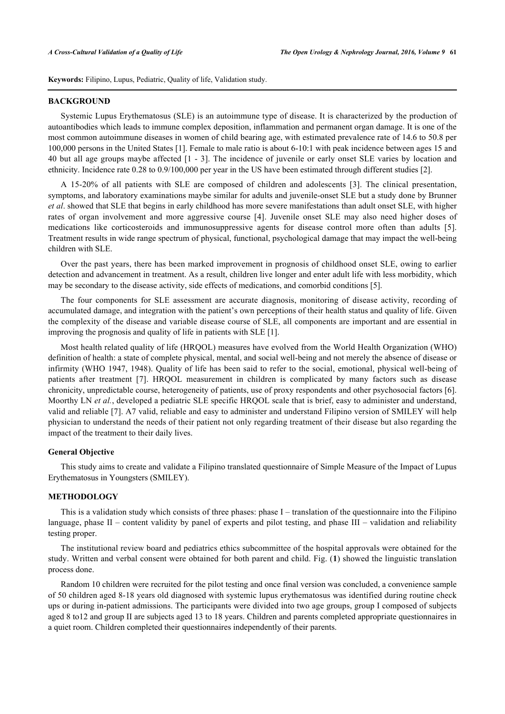**Keywords:** Filipino, Lupus, Pediatric, Quality of life, Validation study.

#### **BACKGROUND**

Systemic Lupus Erythematosus (SLE) is an autoimmune type of disease. It is characterized by the production of autoantibodies which leads to immune complex deposition, inflammation and permanent organ damage. It is one of the most common autoimmune diseases in women of child bearing age, with estimated prevalence rate of 14.6 to 50.8 per 100,000 persons in the United States [\[1](#page-5-0)]. Female to male ratio is about 6-10:1 with peak incidence between ages 15 and 40 but all age groups maybe affected [[1](#page-5-0) - [3\]](#page-5-1). The incidence of juvenile or early onset SLE varies by location and ethnicity. Incidence rate 0.28 to 0.9/100,000 per year in the US have been estimated through different studies [\[2](#page-5-2)].

A 15-20% of all patients with SLE are composed of children and adolescents[[3\]](#page-5-1). The clinical presentation, symptoms, and laboratory examinations maybe similar for adults and juvenile-onset SLE but a study done by Brunner *et al*. showed that SLE that begins in early childhood has more severe manifestations than adult onset SLE, with higher rates of organ involvement and more aggressive course [\[4](#page-5-3)]. Juvenile onset SLE may also need higher doses of medications like corticosteroids and immunosuppressive agents for disease control more often than adults[[5\]](#page-5-4). Treatment results in wide range spectrum of physical, functional, psychological damage that may impact the well-being children with SLE.

Over the past years, there has been marked improvement in prognosis of childhood onset SLE, owing to earlier detection and advancement in treatment. As a result, children live longer and enter adult life with less morbidity, which may be secondary to the disease activity, side effects of medications, and comorbid conditions [[5\]](#page-5-4).

The four components for SLE assessment are accurate diagnosis, monitoring of disease activity, recording of accumulated damage, and integration with the patient's own perceptions of their health status and quality of life. Given the complexity of the disease and variable disease course of SLE, all components are important and are essential in improving the prognosis and quality of life in patients with SLE [[1\]](#page-5-0).

Most health related quality of life (HRQOL) measures have evolved from the World Health Organization (WHO) definition of health: a state of complete physical, mental, and social well-being and not merely the absence of disease or infirmity (WHO 1947, 1948). Quality of life has been said to refer to the social, emotional, physical well-being of patients after treatment[[7](#page-5-5)]. HRQOL measurement in children is complicated by many factors such as disease chronicity, unpredictable course, heterogeneity of patients, use of proxy respondents and other psychosocial factors [[6\]](#page-5-6). Moorthy LN *et al.*, developed a pediatric SLE specific HRQOL scale that is brief, easy to administer and understand, valid and reliable [\[7](#page-5-5)]. A7 valid, reliable and easy to administer and understand Filipino version of SMILEY will help physician to understand the needs of their patient not only regarding treatment of their disease but also regarding the impact of the treatment to their daily lives.

#### **General Objective**

This study aims to create and validate a Filipino translated questionnaire of Simple Measure of the Impact of Lupus Erythematosus in Youngsters (SMILEY).

#### **METHODOLOGY**

This is a validation study which consists of three phases: phase I – translation of the questionnaire into the Filipino language, phase II – content validity by panel of experts and pilot testing, and phase III – validation and reliability testing proper.

The institutional review board and pediatrics ethics subcommittee of the hospital approvals were obtained for the study. Written and verbal consent were obtained for both parent and child. Fig. (**[1](#page-1-0)**) showed the linguistic translation process done.

<span id="page-1-0"></span>Random 10 children were recruited for the pilot testing and once final version was concluded, a convenience sample of 50 children aged 8-18 years old diagnosed with systemic lupus erythematosus was identified during routine check ups or during in-patient admissions. The participants were divided into two age groups, group I composed of subjects aged 8 to12 and group II are subjects aged 13 to 18 years. Children and parents completed appropriate questionnaires in a quiet room. Children completed their questionnaires independently of their parents.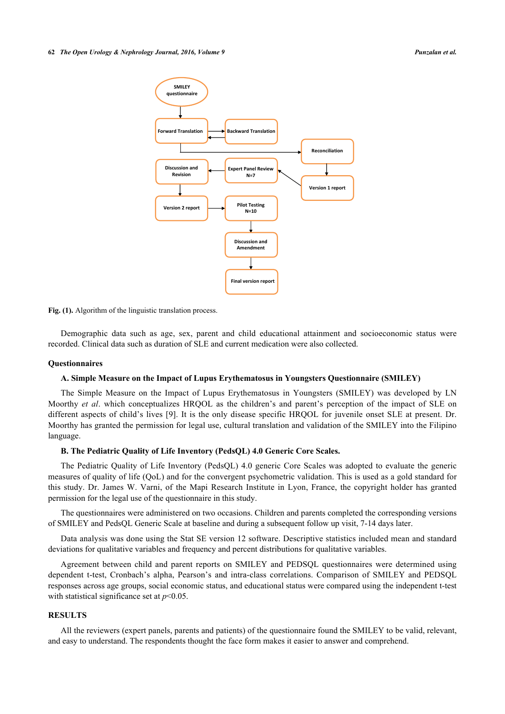

Fig. (1). Algorithm of the linguistic translation process.

Demographic data such as age, sex, parent and child educational attainment and socioeconomic status were recorded. Clinical data such as duration of SLE and current medication were also collected.

#### **Questionnaires**

#### **A. Simple Measure on the Impact of Lupus Erythematosus in Youngsters Questionnaire (SMILEY)**

The Simple Measure on the Impact of Lupus Erythematosus in Youngsters (SMILEY) was developed by LN Moorthy *et al*. which conceptualizes HRQOL as the children's and parent's perception of the impact of SLE on different aspects of child's lives [[9](#page-6-0)]. It is the only disease specific HRQOL for juvenile onset SLE at present. Dr. Moorthy has granted the permission for legal use, cultural translation and validation of the SMILEY into the Filipino language.

# **B. The Pediatric Quality of Life Inventory (PedsQL) 4.0 Generic Core Scales.**

The Pediatric Quality of Life Inventory (PedsQL) 4.0 generic Core Scales was adopted to evaluate the generic measures of quality of life (QoL) and for the convergent psychometric validation. This is used as a gold standard for this study. Dr. James W. Varni, of the Mapi Research Institute in Lyon, France, the copyright holder has granted permission for the legal use of the questionnaire in this study.

The questionnaires were administered on two occasions. Children and parents completed the corresponding versions of SMILEY and PedsQL Generic Scale at baseline and during a subsequent follow up visit, 7-14 days later.

Data analysis was done using the Stat SE version 12 software. Descriptive statistics included mean and standard deviations for qualitative variables and frequency and percent distributions for qualitative variables.

Agreement between child and parent reports on SMILEY and PEDSQL questionnaires were determined using dependent t-test, Cronbach's alpha, Pearson's and intra-class correlations. Comparison of SMILEY and PEDSQL responses across age groups, social economic status, and educational status were compared using the independent t-test with statistical significance set at  $p<0.05$ .

# **RESULTS**

All the reviewers (expert panels, parents and patients) of the questionnaire found the SMILEY to be valid, relevant, and easy to understand. The respondents thought the face form makes it easier to answer and comprehend.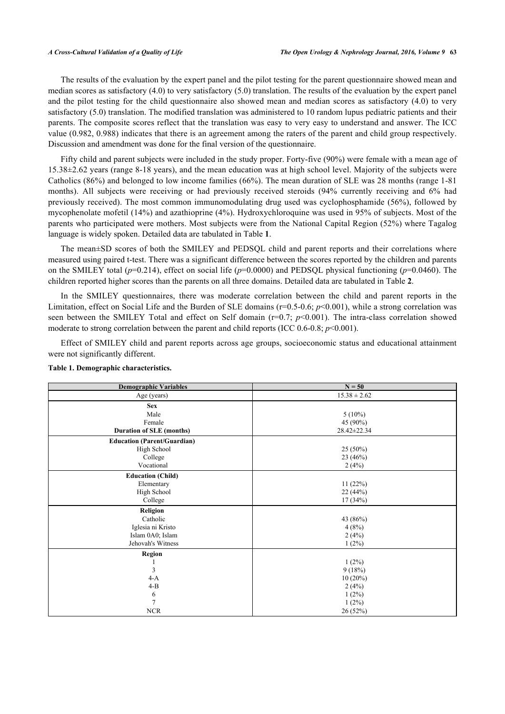The results of the evaluation by the expert panel and the pilot testing for the parent questionnaire showed mean and median scores as satisfactory (4.0) to very satisfactory (5.0) translation. The results of the evaluation by the expert panel and the pilot testing for the child questionnaire also showed mean and median scores as satisfactory (4.0) to very satisfactory (5.0) translation. The modified translation was administered to 10 random lupus pediatric patients and their parents. The composite scores reflect that the translation was easy to very easy to understand and answer. The ICC value (0.982, 0.988) indicates that there is an agreement among the raters of the parent and child group respectively. Discussion and amendment was done for the final version of the questionnaire.

Fifty child and parent subjects were included in the study proper. Forty-five (90%) were female with a mean age of 15.38±2.62 years (range 8-18 years), and the mean education was at high school level. Majority of the subjects were Catholics (86%) and belonged to low income families (66%). The mean duration of SLE was 28 months (range 1-81 months). All subjects were receiving or had previously received steroids (94% currently receiving and 6% had previously received). The most common immunomodulating drug used was cyclophosphamide (56%), followed by mycophenolate mofetil (14%) and azathioprine (4%). Hydroxychloroquine was used in 95% of subjects. Most of the parents who participated were mothers. Most subjects were from the National Capital Region (52%) where Tagalog language is widely spoken. Detailed data are tabulated in Table **[1](#page-3-0)**.

The mean±SD scores of both the SMILEY and PEDSQL child and parent reports and their correlations where measured using paired t-test. There was a significant difference between the scores reported by the children and parents on the SMILEY total (*p*=0.214), effect on social life (*p*=0.0000) and PEDSQL physical functioning (*p*=0.0460). The children reported higher scores than the parents on all three domains. Detailed data are tabulated in Table **[2](#page-4-0)**.

In the SMILEY questionnaires, there was moderate correlation between the child and parent reports in the Limitation, effect on Social Life and the Burden of SLE domains (r=0.5-0.6; *p*<0.001), while a strong correlation was seen between the SMILEY Total and effect on Self domain (r=0.7; *p*<0.001). The intra-class correlation showed moderate to strong correlation between the parent and child reports (ICC 0.6-0.8; *p*<0.001).

Effect of SMILEY child and parent reports across age groups, socioeconomic status and educational attainment were not significantly different.

| <b>Demographic Variables</b>       | $N = 50$         |
|------------------------------------|------------------|
| Age (years)                        | $15.38 \pm 2.62$ |
| <b>Sex</b>                         |                  |
| Male                               | $5(10\%)$        |
| Female                             | 45 (90%)         |
| <b>Duration of SLE (months)</b>    | 28.42±22.34      |
| <b>Education (Parent/Guardian)</b> |                  |
| High School                        | 25 (50%)         |
| College                            | 23(46%)          |
| Vocational                         | 2(4%)            |
| <b>Education (Child)</b>           |                  |
| Elementary                         | 11(22%)          |
| High School                        | 22(44%)          |
| College                            | 17(34%)          |
| Religion                           |                  |
| Catholic                           | 43 (86%)         |
| Iglesia ni Kristo                  | 4(8%)            |
| Islam 0A0; Islam                   | 2(4%)            |
| Jehovah's Witness                  | 1(2%)            |
| <b>Region</b>                      |                  |
|                                    | $1(2\%)$         |
| 3                                  | 9(18%)           |
| $4-A$                              | $10(20\%)$       |
| $4-B$                              | 2(4%)            |
| 6                                  | $1(2\%)$         |
| 7                                  | 1(2%)            |
| <b>NCR</b>                         | 26 (52%)         |

### <span id="page-3-0"></span>**Table 1. Demographic characteristics.**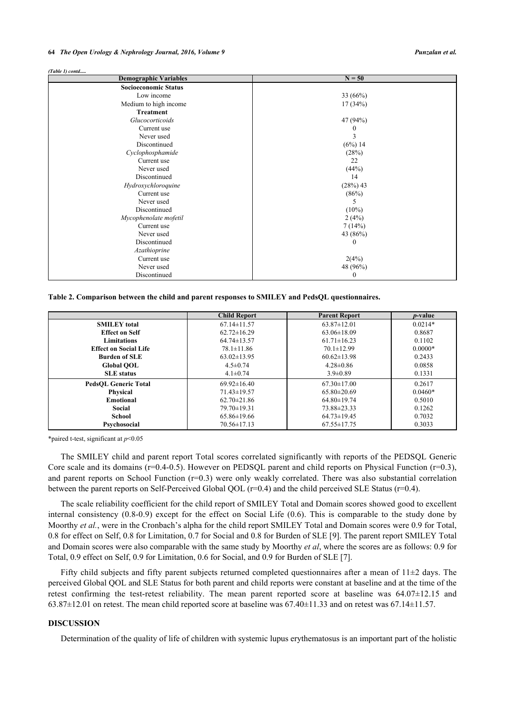#### **64** *The Open Urology & Nephrology Journal, 2016, Volume 9 Punzalan et al.*

#### *(Table 1) contd.....*

| <b>Demographic Variables</b> | $N = 50$   |
|------------------------------|------------|
| <b>Socioeconomic Status</b>  |            |
| Low income                   | 33 $(66%)$ |
| Medium to high income        | 17(34%)    |
| <b>Treatment</b>             |            |
| Glucocorticoids              | 47 (94%)   |
| Current use                  |            |
| Never used                   |            |
| Discontinued                 | (6%) 14    |
| Cyclophosphamide             | (28%)      |
| Current use                  | 22         |
| Never used                   | (44%)      |
| Discontinued                 | 14         |
| Hydroxychloroquine           | (28%) 43   |
| Current use                  | (86%)      |
| Never used                   | 5          |
| Discontinued                 | $(10\%)$   |
| Mycophenolate mofetil        | 2(4%)      |
| Current use                  | 7(14%)     |
| Never used                   | 43 (86%)   |
| Discontinued                 | 0          |
| Azathioprine                 |            |
| Current use                  | 2(4%)      |
| Never used                   | 48 (96%)   |
| Discontinued                 | $\theta$   |

<span id="page-4-0"></span>**Table 2. Comparison between the child and parent responses to SMILEY and PedsQL questionnaires.**

|                              | <b>Child Report</b> | <b>Parent Report</b> | <i>p</i> -value |
|------------------------------|---------------------|----------------------|-----------------|
| <b>SMILEY</b> total          | $67.14 \pm 11.57$   | $63.87 \pm 12.01$    | $0.0214*$       |
| <b>Effect on Self</b>        | $62.72 \pm 16.29$   | $63.06 \pm 18.09$    | 0.8687          |
| <b>Limitations</b>           | $64.74\pm13.57$     | $61.71 \pm 16.23$    | 0.1102          |
| <b>Effect on Social Life</b> | $78.1 \pm 11.86$    | $70.1 \pm 12.99$     | $0.0000*$       |
| <b>Burden of SLE</b>         | $63.02 \pm 13.95$   | $60.62 \pm 13.98$    | 0.2433          |
| <b>Global OOL</b>            | $4.5 \pm 0.74$      | $4.28 \pm 0.86$      | 0.0858          |
| <b>SLE</b> status            | $4.1 \pm 0.74$      | $3.9 \pm 0.89$       | 0.1331          |
| <b>PedsOL Generic Total</b>  | $69.92 \pm 16.40$   | $67.30 \pm 17.00$    | 0.2617          |
| Physical                     | $71.43 \pm 19.57$   | $65.80 \pm 20.69$    | $0.0460*$       |
| <b>Emotional</b>             | $62.70 \pm 21.86$   | $64.80 \pm 19.74$    | 0.5010          |
| Social                       | $79.70 \pm 19.31$   | 73.88±23.33          | 0.1262          |
| School                       | $65.86 \pm 19.66$   | $64.73 \pm 19.45$    | 0.7032          |
| Psychosocial                 | $70.56 \pm 17.13$   | $67.55 \pm 17.75$    | 0.3033          |

\*paired t-test, significant at *p*<0.05

The SMILEY child and parent report Total scores correlated significantly with reports of the PEDSQL Generic Core scale and its domains (r=0.4-0.5). However on PEDSQL parent and child reports on Physical Function (r=0.3), and parent reports on School Function  $(r=0.3)$  were only weakly correlated. There was also substantial correlation between the parent reports on Self-Perceived Global QOL  $(r=0.4)$  and the child perceived SLE Status  $(r=0.4)$ .

The scale reliability coefficient for the child report of SMILEY Total and Domain scores showed good to excellent internal consistency (0.8-0.9) except for the effect on Social Life (0.6). This is comparable to the study done by Moorthy *et al.*, were in the Cronbach's alpha for the child report SMILEY Total and Domain scores were 0.9 for Total, 0.8 for effect on Self, 0.8 for Limitation, 0.7 for Social and 0.8 for Burden of SLE [[9\]](#page-6-0). The parent report SMILEY Total and Domain scores were also comparable with the same study by Moorthy *et al*, where the scores are as follows: 0.9 for Total, 0.9 effect on Self, 0.9 for Limitation, 0.6 for Social, and 0.9 for Burden of SLE [[7\]](#page-5-5).

Fifty child subjects and fifty parent subjects returned completed questionnaires after a mean of  $11\pm2$  days. The perceived Global QOL and SLE Status for both parent and child reports were constant at baseline and at the time of the retest confirming the test-retest reliability. The mean parent reported score at baseline was 64.07±12.15 and  $63.87\pm12.01$  on retest. The mean child reported score at baseline was  $67.40\pm11.33$  and on retest was  $67.14\pm11.57$ .

#### **DISCUSSION**

Determination of the quality of life of children with systemic lupus erythematosus is an important part of the holistic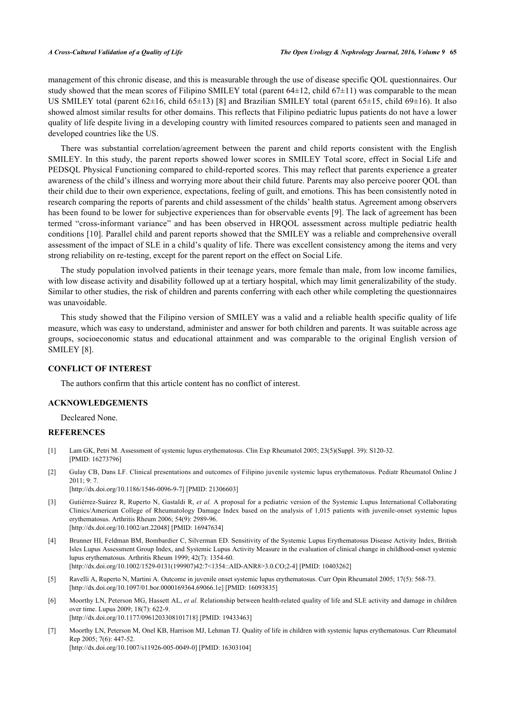management of this chronic disease, and this is measurable through the use of disease specific QOL questionnaires. Our study showed that the mean scores of Filipino SMILEY total (parent  $64\pm12$ , child  $67\pm11$ ) was comparable to the mean US SMILEY total (parent 62±16, child 65±13) [\[8](#page-6-1)] and Brazilian SMILEY total (parent 65±15, child 69±16). It also showed almost similar results for other domains. This reflects that Filipino pediatric lupus patients do not have a lower quality of life despite living in a developing country with limited resources compared to patients seen and managed in developed countries like the US.

There was substantial correlation/agreement between the parent and child reports consistent with the English SMILEY. In this study, the parent reports showed lower scores in SMILEY Total score, effect in Social Life and PEDSQL Physical Functioning compared to child-reported scores. This may reflect that parents experience a greater awareness of the child's illness and worrying more about their child future. Parents may also perceive poorer QOL than their child due to their own experience, expectations, feeling of guilt, and emotions. This has been consistently noted in research comparing the reports of parents and child assessment of the childs' health status. Agreement among observers has been found to be lower for subjective experiences than for observable events [\[9\]](#page-6-0). The lack of agreement has been termed "cross-informant variance" and has been observed in HRQOL assessment across multiple pediatric health conditions [[10\]](#page-6-2). Parallel child and parent reports showed that the SMILEY was a reliable and comprehensive overall assessment of the impact of SLE in a child's quality of life. There was excellent consistency among the items and very strong reliability on re-testing, except for the parent report on the effect on Social Life.

The study population involved patients in their teenage years, more female than male, from low income families, with low disease activity and disability followed up at a tertiary hospital, which may limit generalizability of the study. Similar to other studies, the risk of children and parents conferring with each other while completing the questionnaires was unavoidable.

This study showed that the Filipino version of SMILEY was a valid and a reliable health specific quality of life measure, which was easy to understand, administer and answer for both children and parents. It was suitable across age groups, socioeconomic status and educational attainment and was comparable to the original English version of SMILEY [[8\]](#page-6-1).

#### **CONFLICT OF INTEREST**

The authors confirm that this article content has no conflict of interest.

# **ACKNOWLEDGEMENTS**

Decleared None.

# **REFERENCES**

- <span id="page-5-0"></span>[1] Lam GK, Petri M. Assessment of systemic lupus erythematosus. Clin Exp Rheumatol 2005; 23(5)(Suppl. 39): S120-32. [PMID: [16273796\]](http://www.ncbi.nlm.nih.gov/pubmed/16273796)
- <span id="page-5-2"></span>[2] Gulay CB, Dans LF. Clinical presentations and outcomes of Filipino juvenile systemic lupus erythematosus. Pediatr Rheumatol Online J 2011; 9: 7.
	- [\[http://dx.doi.org/10.1186/1546-0096-9-7\]](http://dx.doi.org/10.1186/1546-0096-9-7) [PMID: [21306603](http://www.ncbi.nlm.nih.gov/pubmed/21306603)]
- <span id="page-5-1"></span>[3] Gutiérrez-Suárez R, Ruperto N, Gastaldi R, *et al.* A proposal for a pediatric version of the Systemic Lupus International Collaborating Clinics/American College of Rheumatology Damage Index based on the analysis of 1,015 patients with juvenile-onset systemic lupus erythematosus. Arthritis Rheum 2006; 54(9): 2989-96. [\[http://dx.doi.org/10.1002/art.22048](http://dx.doi.org/10.1002/art.22048)] [PMID: [16947634\]](http://www.ncbi.nlm.nih.gov/pubmed/16947634)
- <span id="page-5-3"></span>[4] Brunner HI, Feldman BM, Bombardier C, Silverman ED. Sensitivity of the Systemic Lupus Erythematosus Disease Activity Index, British Isles Lupus Assessment Group Index, and Systemic Lupus Activity Measure in the evaluation of clinical change in childhood-onset systemic lupus erythematosus. Arthritis Rheum 1999; 42(7): 1354-60. [\[http://dx.doi.org/10.1002/1529-0131\(199907\)42:7<1354::AID-ANR8>3.0.CO;2-4](http://dx.doi.org/10.1002/1529-0131(199907)42:7<1354::AID-ANR8>3.0.CO;2-4)] [PMID: [10403262\]](http://www.ncbi.nlm.nih.gov/pubmed/10403262)
- <span id="page-5-4"></span>[5] Ravelli A, Ruperto N, Martini A. Outcome in juvenile onset systemic lupus erythematosus. Curr Opin Rheumatol 2005; 17(5): 568-73. [\[http://dx.doi.org/10.1097/01.bor.0000169364.69066.1e](http://dx.doi.org/10.1097/01.bor.0000169364.69066.1e)] [PMID: [16093835\]](http://www.ncbi.nlm.nih.gov/pubmed/16093835)
- <span id="page-5-6"></span>[6] Moorthy LN, Peterson MG, Hassett AL, *et al.* Relationship between health-related quality of life and SLE activity and damage in children over time. Lupus 2009; 18(7): 622-9. [\[http://dx.doi.org/10.1177/0961203308101718\]](http://dx.doi.org/10.1177/0961203308101718) [PMID: [19433463](http://www.ncbi.nlm.nih.gov/pubmed/19433463)]
- <span id="page-5-5"></span>[7] Moorthy LN, Peterson M, Onel KB, Harrison MJ, Lehman TJ. Quality of life in children with systemic lupus erythematosus. Curr Rheumatol Rep 2005; 7(6): 447-52. [\[http://dx.doi.org/10.1007/s11926-005-0049-0\]](http://dx.doi.org/10.1007/s11926-005-0049-0) [PMID: [16303104](http://www.ncbi.nlm.nih.gov/pubmed/16303104)]